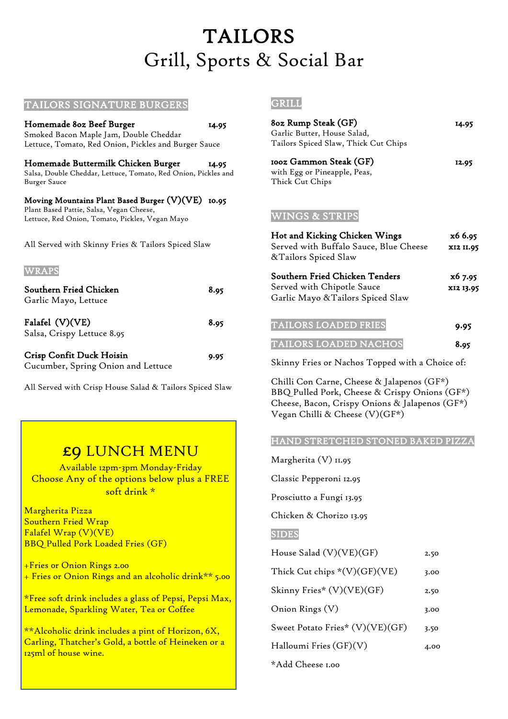## TAILORS Grill, Sports & Social Bar

| Homemade 80z Beef Burger<br>Smoked Bacon Maple Jam, Double Cheddar<br>Lettuce, Tomato, Red Onion, Pickles and Burger Sauce                       | 14.95 |  |
|--------------------------------------------------------------------------------------------------------------------------------------------------|-------|--|
| Homemade Buttermilk Chicken Burger<br>Salsa, Double Cheddar, Lettuce, Tomato, Red Onion, Pickles and<br>Burger Sauce                             | 14.95 |  |
| Moving Mountains Plant Based Burger (V)(VE) 10.95<br>Plant Based Pattie, Salsa, Vegan Cheese,<br>Lettuce, Red Onion, Tomato, Pickles, Vegan Mayo |       |  |
| All Served with Skinny Fries & Tailors Spiced Slaw                                                                                               |       |  |
| <b>WRAPS</b>                                                                                                                                     |       |  |
| Southern Fried Chicken<br>Garlic Mayo, Lettuce                                                                                                   | 8.95  |  |
| Falafel (V)(VE)<br>Salsa, Crispy Lettuce 8.95                                                                                                    | 8.95  |  |

TAILORS SIGNATURE BURGERS

| <b>Crisp Confit Duck Hoisin</b>    | 9.95 |
|------------------------------------|------|
| Cucumber, Spring Onion and Lettuce |      |

All Served with Crisp House Salad & Tailors Spiced Slaw

### £9 LUNCH MENU

Available 12pm-3pm Monday-Friday Choose Any of the options below plus a FREE soft drink \*

Margherita Pizza Southern Fried Wrap Falafel Wrap (V)(VE) BBQ Pulled Pork Loaded Fries (GF)

+Fries 0r Onion Rings 2.00 + Fries or Onion Rings and an alcoholic drink\*\* 5.00

\*Free soft drink includes a glass of Pepsi, Pepsi Max, Lemonade, Sparkling Water, Tea or Coffee

\*\*Alcoholic drink includes a pint of Horizon, 6X, Carling, Thatcher's Gold, a bottle of Heineken or a 125ml of house wine.

#### GRILL

| 80z Rump Steak (GF)                                                       | 14.95 |
|---------------------------------------------------------------------------|-------|
| Garlic Butter, House Salad,                                               |       |
| Tailors Spiced Slaw, Thick Cut Chips                                      |       |
| 100z Gammon Steak (GF)<br>with Egg or Pineapple, Peas,<br>Thick Cut Chips | 12.95 |

#### WINGS & STRIPS

| Hot and Kicking Chicken Wings<br>Served with Buffalo Sauce, Blue Cheese<br>&Tailors Spiced Slaw   | x6 6.95<br>XI2 II.95 |
|---------------------------------------------------------------------------------------------------|----------------------|
| Southern Fried Chicken Tenders<br>Served with Chipotle Sauce<br>Garlic Mayo & Tailors Spiced Slaw | x6 7.95<br>XI2 13.95 |
| <b>TAILORS LOADED FRIES</b>                                                                       | 9.95                 |
| <b>TAILORS LOADED NACHOS</b>                                                                      | 8.95                 |

Skinny Fries or Nachos Topped with a Choice of:

Chilli Con Carne, Cheese & Jalapenos (GF\*) BBQ Pulled Pork, Cheese & Crispy Onions (GF\*) Cheese, Bacon, Crispy Onions & Jalapenos (GF\*) Vegan Chilli & Cheese (V)(GF\*)

#### HAND STRETCHED STONED BAKED PIZZA

Margherita (V) 11.95

Classic Pepperoni 12.95

Prosciutto a Fungi 13.95

Chicken & Chorizo 13.95

#### SIDES

| House Salad (V)(VE)(GF)         | 2.50 |
|---------------------------------|------|
| Thick Cut chips $*(V)(GF)(VE)$  | 3.00 |
| Skinny Fries* (V)(VE)(GF)       | 2.50 |
| Onion Rings (V)                 | 3.00 |
| Sweet Potato Fries* (V)(VE)(GF) | 3.50 |
| Halloumi Fries (GF)(V)          | 4.00 |
| *Add Cheese 1.00                |      |